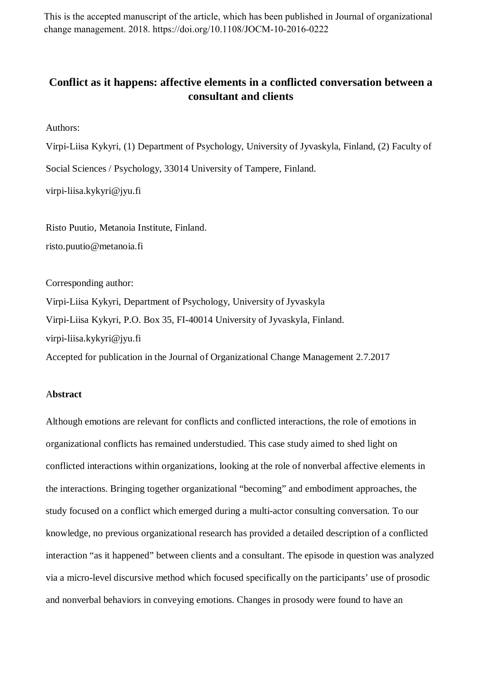This is the accepted manuscript of the article, which has been published in Journal of organizational change management. 2018. https://doi.org/10.1108/JOCM-10-2016-0222

## **Conflict as it happens: affective elements in a conflicted conversation between a consultant and clients**

Authors:

Virpi-Liisa Kykyri, (1) Department of Psychology, University of Jyvaskyla, Finland, (2) Faculty of

Social Sciences / Psychology, 33014 University of Tampere, Finland.

virpi-liisa.kykyri@jyu.fi

Risto Puutio, Metanoia Institute, Finland. risto.puutio@metanoia.fi

Corresponding author:

Virpi-Liisa Kykyri, Department of Psychology, University of Jyvaskyla Virpi-Liisa Kykyri, P.O. Box 35, FI-40014 University of Jyvaskyla, Finland. virpi-liisa.kykyri@jyu.fi Accepted for publication in the Journal of Organizational Change Management 2.7.2017

### A**bstract**

Although emotions are relevant for conflicts and conflicted interactions, the role of emotions in organizational conflicts has remained understudied. This case study aimed to shed light on conflicted interactions within organizations, looking at the role of nonverbal affective elements in the interactions. Bringing together organizational "becoming" and embodiment approaches, the study focused on a conflict which emerged during a multi-actor consulting conversation. To our knowledge, no previous organizational research has provided a detailed description of a conflicted interaction "as it happened" between clients and a consultant. The episode in question was analyzed via a micro-level discursive method which focused specifically on the participants' use of prosodic and nonverbal behaviors in conveying emotions. Changes in prosody were found to have an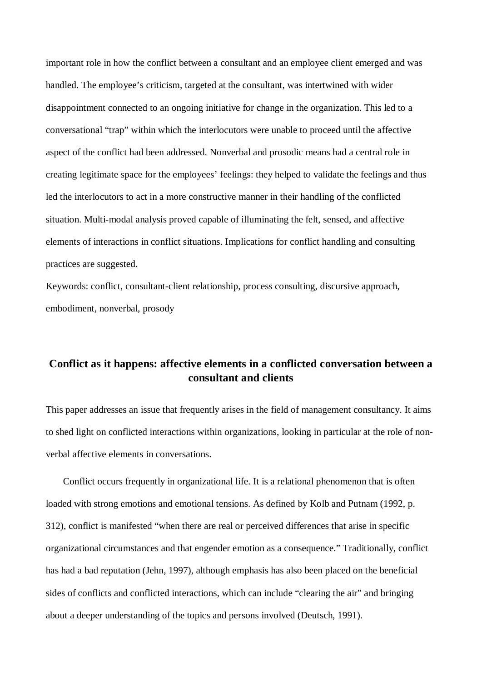important role in how the conflict between a consultant and an employee client emerged and was handled. The employee's criticism, targeted at the consultant, was intertwined with wider disappointment connected to an ongoing initiative for change in the organization. This led to a conversational "trap" within which the interlocutors were unable to proceed until the affective aspect of the conflict had been addressed. Nonverbal and prosodic means had a central role in creating legitimate space for the employees' feelings: they helped to validate the feelings and thus led the interlocutors to act in a more constructive manner in their handling of the conflicted situation. Multi-modal analysis proved capable of illuminating the felt, sensed, and affective elements of interactions in conflict situations. Implications for conflict handling and consulting practices are suggested.

Keywords: conflict, consultant-client relationship, process consulting, discursive approach, embodiment, nonverbal, prosody

## **Conflict as it happens: affective elements in a conflicted conversation between a consultant and clients**

This paper addresses an issue that frequently arises in the field of management consultancy. It aims to shed light on conflicted interactions within organizations, looking in particular at the role of nonverbal affective elements in conversations.

Conflict occurs frequently in organizational life. It is a relational phenomenon that is often loaded with strong emotions and emotional tensions. As defined by Kolb and Putnam (1992, p. 312), conflict is manifested "when there are real or perceived differences that arise in specific organizational circumstances and that engender emotion as a consequence." Traditionally, conflict has had a bad reputation (Jehn, 1997), although emphasis has also been placed on the beneficial sides of conflicts and conflicted interactions, which can include "clearing the air" and bringing about a deeper understanding of the topics and persons involved (Deutsch, 1991).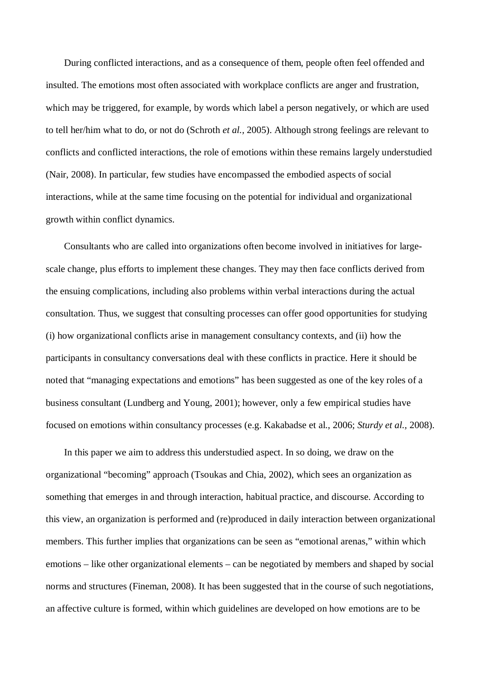During conflicted interactions, and as a consequence of them, people often feel offended and insulted. The emotions most often associated with workplace conflicts are anger and frustration, which may be triggered, for example, by words which label a person negatively, or which are used to tell her/him what to do, or not do (Schroth *et al.,* 2005). Although strong feelings are relevant to conflicts and conflicted interactions, the role of emotions within these remains largely understudied (Nair, 2008). In particular, few studies have encompassed the embodied aspects of social interactions, while at the same time focusing on the potential for individual and organizational growth within conflict dynamics.

Consultants who are called into organizations often become involved in initiatives for largescale change, plus efforts to implement these changes. They may then face conflicts derived from the ensuing complications, including also problems within verbal interactions during the actual consultation. Thus, we suggest that consulting processes can offer good opportunities for studying (i) how organizational conflicts arise in management consultancy contexts, and (ii) how the participants in consultancy conversations deal with these conflicts in practice. Here it should be noted that "managing expectations and emotions" has been suggested as one of the key roles of a business consultant (Lundberg and Young, 2001); however, only a few empirical studies have focused on emotions within consultancy processes (e.g. Kakabadse et al., 2006; *Sturdy et al.,* 2008).

In this paper we aim to address this understudied aspect. In so doing, we draw on the organizational "becoming" approach (Tsoukas and Chia, 2002), which sees an organization as something that emerges in and through interaction, habitual practice, and discourse. According to this view, an organization is performed and (re)produced in daily interaction between organizational members. This further implies that organizations can be seen as "emotional arenas," within which emotions – like other organizational elements – can be negotiated by members and shaped by social norms and structures (Fineman, 2008). It has been suggested that in the course of such negotiations, an affective culture is formed, within which guidelines are developed on how emotions are to be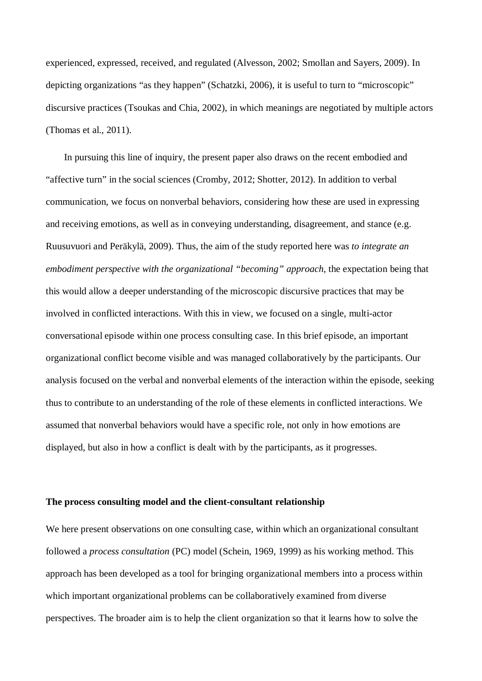experienced, expressed, received, and regulated (Alvesson, 2002; Smollan and Sayers, 2009). In depicting organizations "as they happen" (Schatzki, 2006), it is useful to turn to "microscopic" discursive practices (Tsoukas and Chia, 2002), in which meanings are negotiated by multiple actors (Thomas et al., 2011).

In pursuing this line of inquiry, the present paper also draws on the recent embodied and "affective turn" in the social sciences (Cromby, 2012; Shotter, 2012). In addition to verbal communication, we focus on nonverbal behaviors, considering how these are used in expressing and receiving emotions, as well as in conveying understanding, disagreement, and stance (e.g. Ruusuvuori and Peräkylä, 2009). Thus, the aim of the study reported here was *to integrate an embodiment perspective with the organizational "becoming" approach*, the expectation being that this would allow a deeper understanding of the microscopic discursive practices that may be involved in conflicted interactions. With this in view, we focused on a single, multi-actor conversational episode within one process consulting case. In this brief episode, an important organizational conflict become visible and was managed collaboratively by the participants. Our analysis focused on the verbal and nonverbal elements of the interaction within the episode, seeking thus to contribute to an understanding of the role of these elements in conflicted interactions. We assumed that nonverbal behaviors would have a specific role, not only in how emotions are displayed, but also in how a conflict is dealt with by the participants, as it progresses.

#### **The process consulting model and the client-consultant relationship**

We here present observations on one consulting case, within which an organizational consultant followed a *process consultation* (PC) model (Schein, 1969, 1999) as his working method. This approach has been developed as a tool for bringing organizational members into a process within which important organizational problems can be collaboratively examined from diverse perspectives. The broader aim is to help the client organization so that it learns how to solve the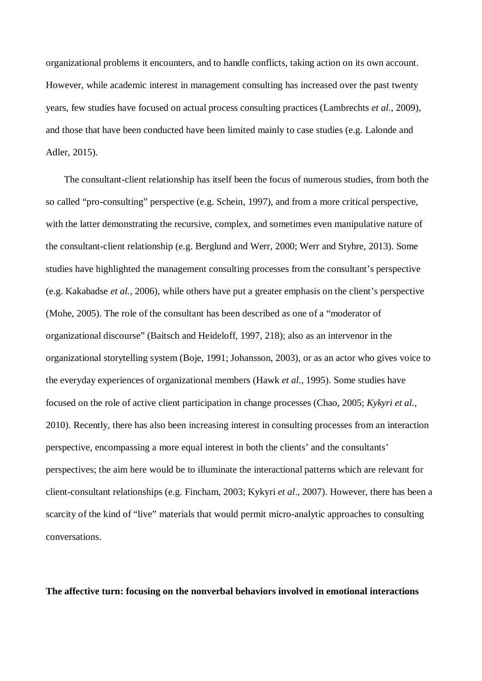organizational problems it encounters, and to handle conflicts, taking action on its own account. However, while academic interest in management consulting has increased over the past twenty years, few studies have focused on actual process consulting practices (Lambrechts *et al.,* 2009), and those that have been conducted have been limited mainly to case studies (e.g. Lalonde and Adler, 2015).

The consultant-client relationship has itself been the focus of numerous studies, from both the so called "pro-consulting" perspective (e.g. Schein, 1997), and from a more critical perspective, with the latter demonstrating the recursive, complex, and sometimes even manipulative nature of the consultant-client relationship (e.g. Berglund and Werr, 2000; Werr and Styhre, 2013). Some studies have highlighted the management consulting processes from the consultant's perspective (e.g. Kakabadse *et al.,* 2006), while others have put a greater emphasis on the client's perspective (Mohe, 2005). The role of the consultant has been described as one of a "moderator of organizational discourse" (Baitsch and Heideloff, 1997, 218); also as an intervenor in the organizational storytelling system (Boje, 1991; Johansson, 2003), or as an actor who gives voice to the everyday experiences of organizational members (Hawk *et al.,* 1995). Some studies have focused on the role of active client participation in change processes (Chao, 2005; *Kykyri et al.,* 2010). Recently, there has also been increasing interest in consulting processes from an interaction perspective, encompassing a more equal interest in both the clients' and the consultants' perspectives; the aim here would be to illuminate the interactional patterns which are relevant for client-consultant relationships (e.g. Fincham, 2003; Kykyri *et al*., 2007). However, there has been a scarcity of the kind of "live" materials that would permit micro-analytic approaches to consulting conversations.

#### **The affective turn: focusing on the nonverbal behaviors involved in emotional interactions**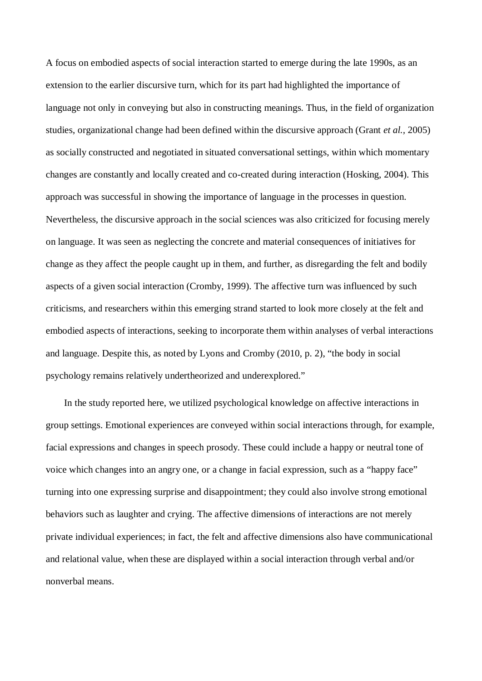A focus on embodied aspects of social interaction started to emerge during the late 1990s, as an extension to the earlier discursive turn, which for its part had highlighted the importance of language not only in conveying but also in constructing meanings. Thus, in the field of organization studies, organizational change had been defined within the discursive approach (Grant *et al.,* 2005) as socially constructed and negotiated in situated conversational settings, within which momentary changes are constantly and locally created and co-created during interaction (Hosking, 2004). This approach was successful in showing the importance of language in the processes in question. Nevertheless, the discursive approach in the social sciences was also criticized for focusing merely on language. It was seen as neglecting the concrete and material consequences of initiatives for change as they affect the people caught up in them, and further, as disregarding the felt and bodily aspects of a given social interaction (Cromby, 1999). The affective turn was influenced by such criticisms, and researchers within this emerging strand started to look more closely at the felt and embodied aspects of interactions, seeking to incorporate them within analyses of verbal interactions and language. Despite this, as noted by Lyons and Cromby (2010, p. 2), "the body in social psychology remains relatively undertheorized and underexplored."

In the study reported here, we utilized psychological knowledge on affective interactions in group settings. Emotional experiences are conveyed within social interactions through, for example, facial expressions and changes in speech prosody. These could include a happy or neutral tone of voice which changes into an angry one, or a change in facial expression, such as a "happy face" turning into one expressing surprise and disappointment; they could also involve strong emotional behaviors such as laughter and crying. The affective dimensions of interactions are not merely private individual experiences; in fact, the felt and affective dimensions also have communicational and relational value, when these are displayed within a social interaction through verbal and/or nonverbal means.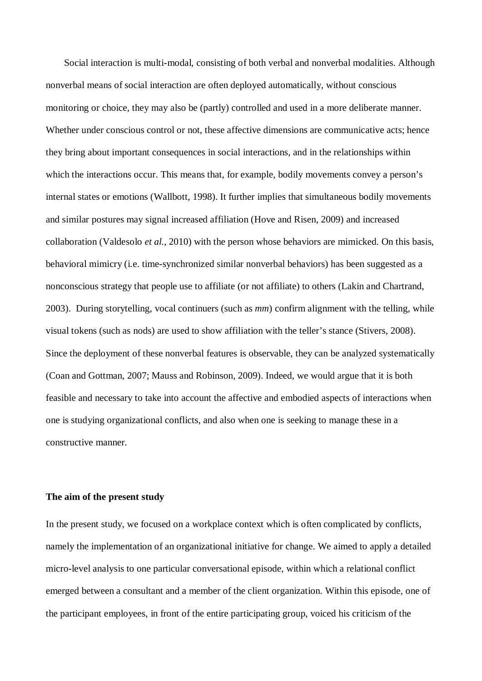Social interaction is multi-modal, consisting of both verbal and nonverbal modalities. Although nonverbal means of social interaction are often deployed automatically, without conscious monitoring or choice, they may also be (partly) controlled and used in a more deliberate manner. Whether under conscious control or not, these affective dimensions are communicative acts; hence they bring about important consequences in social interactions, and in the relationships within which the interactions occur. This means that, for example, bodily movements convey a person's internal states or emotions (Wallbott, 1998). It further implies that simultaneous bodily movements and similar postures may signal increased affiliation (Hove and Risen, 2009) and increased collaboration (Valdesolo *et al.,* 2010) with the person whose behaviors are mimicked. On this basis, behavioral mimicry (i.e. time-synchronized similar nonverbal behaviors) has been suggested as a nonconscious strategy that people use to affiliate (or not affiliate) to others (Lakin and Chartrand, 2003). During storytelling, vocal continuers (such as *mm*) confirm alignment with the telling, while visual tokens (such as nods) are used to show affiliation with the teller's stance (Stivers, 2008). Since the deployment of these nonverbal features is observable, they can be analyzed systematically (Coan and Gottman, 2007; Mauss and Robinson, 2009). Indeed, we would argue that it is both feasible and necessary to take into account the affective and embodied aspects of interactions when one is studying organizational conflicts, and also when one is seeking to manage these in a constructive manner.

#### **The aim of the present study**

In the present study, we focused on a workplace context which is often complicated by conflicts, namely the implementation of an organizational initiative for change. We aimed to apply a detailed micro-level analysis to one particular conversational episode, within which a relational conflict emerged between a consultant and a member of the client organization. Within this episode, one of the participant employees, in front of the entire participating group, voiced his criticism of the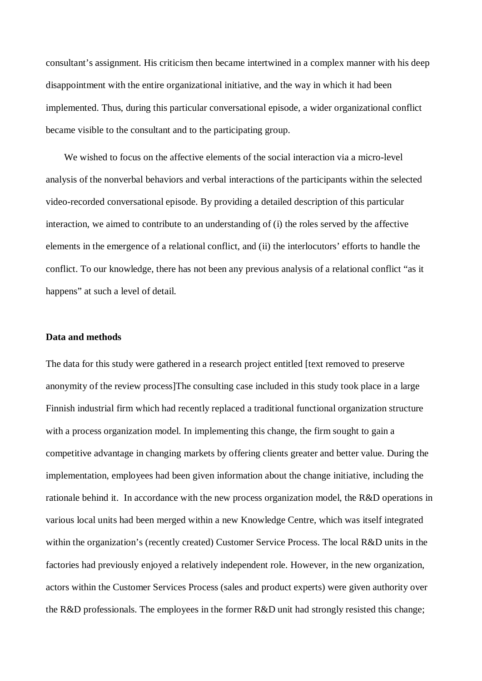consultant's assignment. His criticism then became intertwined in a complex manner with his deep disappointment with the entire organizational initiative, and the way in which it had been implemented. Thus, during this particular conversational episode, a wider organizational conflict became visible to the consultant and to the participating group.

We wished to focus on the affective elements of the social interaction via a micro-level analysis of the nonverbal behaviors and verbal interactions of the participants within the selected video-recorded conversational episode. By providing a detailed description of this particular interaction, we aimed to contribute to an understanding of (i) the roles served by the affective elements in the emergence of a relational conflict, and (ii) the interlocutors' efforts to handle the conflict. To our knowledge, there has not been any previous analysis of a relational conflict "as it happens" at such a level of detail.

#### **Data and methods**

The data for this study were gathered in a research project entitled [text removed to preserve anonymity of the review process]The consulting case included in this study took place in a large Finnish industrial firm which had recently replaced a traditional functional organization structure with a process organization model. In implementing this change, the firm sought to gain a competitive advantage in changing markets by offering clients greater and better value. During the implementation, employees had been given information about the change initiative, including the rationale behind it. In accordance with the new process organization model, the R&D operations in various local units had been merged within a new Knowledge Centre, which was itself integrated within the organization's (recently created) Customer Service Process. The local R&D units in the factories had previously enjoyed a relatively independent role. However, in the new organization, actors within the Customer Services Process (sales and product experts) were given authority over the R&D professionals. The employees in the former R&D unit had strongly resisted this change;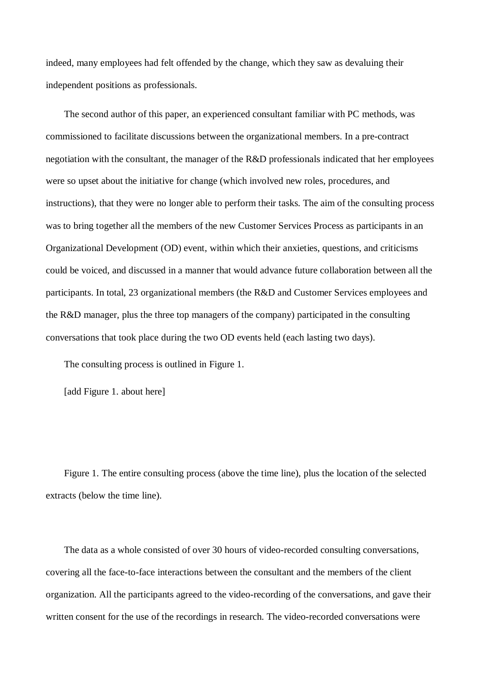indeed, many employees had felt offended by the change, which they saw as devaluing their independent positions as professionals.

The second author of this paper, an experienced consultant familiar with PC methods, was commissioned to facilitate discussions between the organizational members. In a pre-contract negotiation with the consultant, the manager of the R&D professionals indicated that her employees were so upset about the initiative for change (which involved new roles, procedures, and instructions), that they were no longer able to perform their tasks. The aim of the consulting process was to bring together all the members of the new Customer Services Process as participants in an Organizational Development (OD) event, within which their anxieties, questions, and criticisms could be voiced, and discussed in a manner that would advance future collaboration between all the participants. In total, 23 organizational members (the R&D and Customer Services employees and the R&D manager, plus the three top managers of the company) participated in the consulting conversations that took place during the two OD events held (each lasting two days).

The consulting process is outlined in Figure 1.

[add Figure 1. about here]

Figure 1. The entire consulting process (above the time line), plus the location of the selected extracts (below the time line).

The data as a whole consisted of over 30 hours of video-recorded consulting conversations, covering all the face-to-face interactions between the consultant and the members of the client organization. All the participants agreed to the video-recording of the conversations, and gave their written consent for the use of the recordings in research. The video-recorded conversations were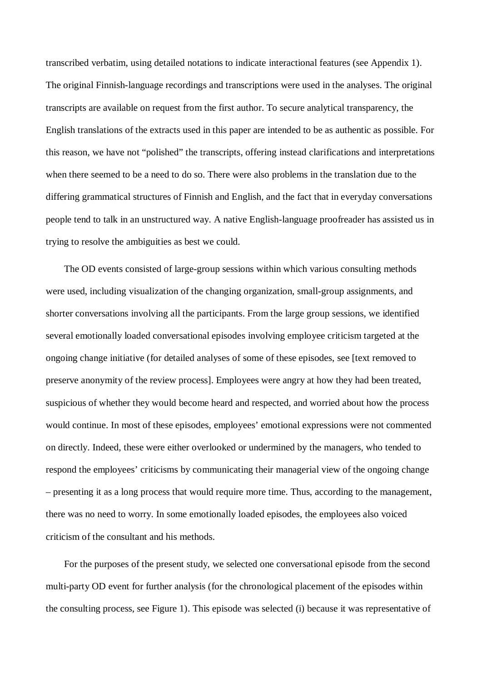transcribed verbatim, using detailed notations to indicate interactional features (see Appendix 1). The original Finnish-language recordings and transcriptions were used in the analyses. The original transcripts are available on request from the first author. To secure analytical transparency, the English translations of the extracts used in this paper are intended to be as authentic as possible. For this reason, we have not "polished" the transcripts, offering instead clarifications and interpretations when there seemed to be a need to do so. There were also problems in the translation due to the differing grammatical structures of Finnish and English, and the fact that in everyday conversations people tend to talk in an unstructured way. A native English-language proofreader has assisted us in trying to resolve the ambiguities as best we could.

The OD events consisted of large-group sessions within which various consulting methods were used, including visualization of the changing organization, small-group assignments, and shorter conversations involving all the participants. From the large group sessions, we identified several emotionally loaded conversational episodes involving employee criticism targeted at the ongoing change initiative (for detailed analyses of some of these episodes, see [text removed to preserve anonymity of the review process]. Employees were angry at how they had been treated, suspicious of whether they would become heard and respected, and worried about how the process would continue. In most of these episodes, employees' emotional expressions were not commented on directly. Indeed, these were either overlooked or undermined by the managers, who tended to respond the employees' criticisms by communicating their managerial view of the ongoing change – presenting it as a long process that would require more time. Thus, according to the management, there was no need to worry. In some emotionally loaded episodes, the employees also voiced criticism of the consultant and his methods.

For the purposes of the present study, we selected one conversational episode from the second multi-party OD event for further analysis (for the chronological placement of the episodes within the consulting process, see Figure 1). This episode was selected (i) because it was representative of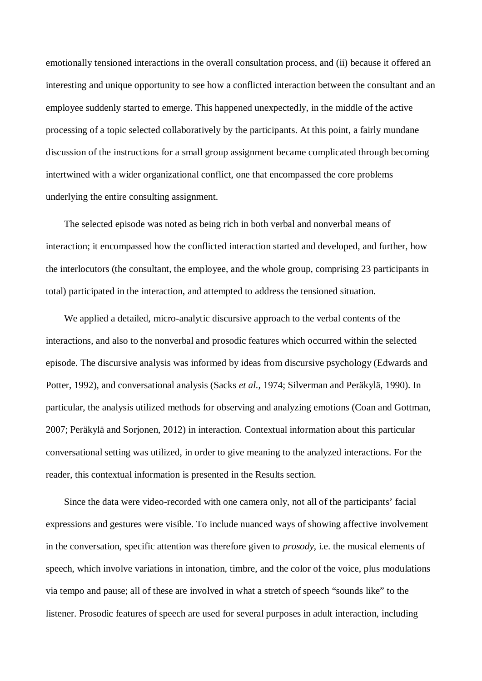emotionally tensioned interactions in the overall consultation process, and (ii) because it offered an interesting and unique opportunity to see how a conflicted interaction between the consultant and an employee suddenly started to emerge. This happened unexpectedly, in the middle of the active processing of a topic selected collaboratively by the participants. At this point, a fairly mundane discussion of the instructions for a small group assignment became complicated through becoming intertwined with a wider organizational conflict, one that encompassed the core problems underlying the entire consulting assignment.

The selected episode was noted as being rich in both verbal and nonverbal means of interaction; it encompassed how the conflicted interaction started and developed, and further, how the interlocutors (the consultant, the employee, and the whole group, comprising 23 participants in total) participated in the interaction, and attempted to address the tensioned situation.

We applied a detailed, micro-analytic discursive approach to the verbal contents of the interactions, and also to the nonverbal and prosodic features which occurred within the selected episode. The discursive analysis was informed by ideas from discursive psychology (Edwards and Potter, 1992), and conversational analysis (Sacks *et al.,* 1974; Silverman and Peräkylä, 1990). In particular, the analysis utilized methods for observing and analyzing emotions (Coan and Gottman, 2007; Peräkylä and Sorjonen, 2012) in interaction. Contextual information about this particular conversational setting was utilized, in order to give meaning to the analyzed interactions. For the reader, this contextual information is presented in the Results section.

Since the data were video-recorded with one camera only, not all of the participants' facial expressions and gestures were visible. To include nuanced ways of showing affective involvement in the conversation, specific attention was therefore given to *prosody*, i.e. the musical elements of speech, which involve variations in intonation, timbre, and the color of the voice, plus modulations via tempo and pause; all of these are involved in what a stretch of speech "sounds like" to the listener. Prosodic features of speech are used for several purposes in adult interaction, including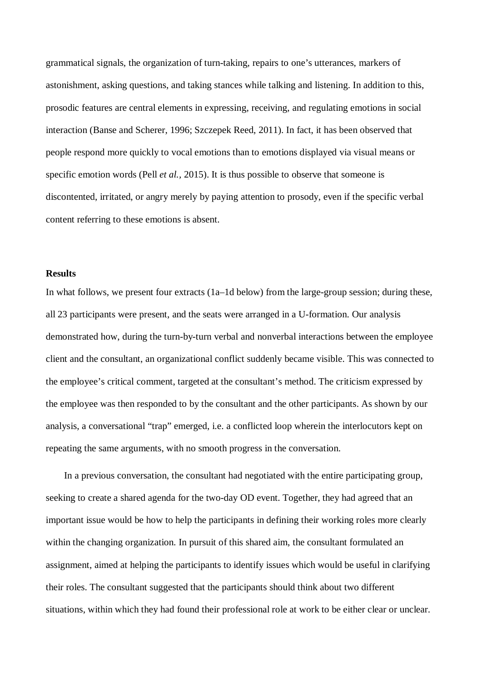grammatical signals, the organization of turn-taking, repairs to one's utterances, markers of astonishment, asking questions, and taking stances while talking and listening. In addition to this, prosodic features are central elements in expressing, receiving, and regulating emotions in social interaction (Banse and Scherer, 1996; Szczepek Reed, 2011). In fact, it has been observed that people respond more quickly to vocal emotions than to emotions displayed via visual means or specific emotion words (Pell *et al.,* 2015). It is thus possible to observe that someone is discontented, irritated, or angry merely by paying attention to prosody, even if the specific verbal content referring to these emotions is absent.

#### **Results**

In what follows, we present four extracts (1a–1d below) from the large-group session; during these, all 23 participants were present, and the seats were arranged in a U-formation. Our analysis demonstrated how, during the turn-by-turn verbal and nonverbal interactions between the employee client and the consultant, an organizational conflict suddenly became visible. This was connected to the employee's critical comment, targeted at the consultant's method. The criticism expressed by the employee was then responded to by the consultant and the other participants. As shown by our analysis, a conversational "trap" emerged, i.e. a conflicted loop wherein the interlocutors kept on repeating the same arguments, with no smooth progress in the conversation.

In a previous conversation, the consultant had negotiated with the entire participating group, seeking to create a shared agenda for the two-day OD event. Together, they had agreed that an important issue would be how to help the participants in defining their working roles more clearly within the changing organization. In pursuit of this shared aim, the consultant formulated an assignment, aimed at helping the participants to identify issues which would be useful in clarifying their roles. The consultant suggested that the participants should think about two different situations, within which they had found their professional role at work to be either clear or unclear.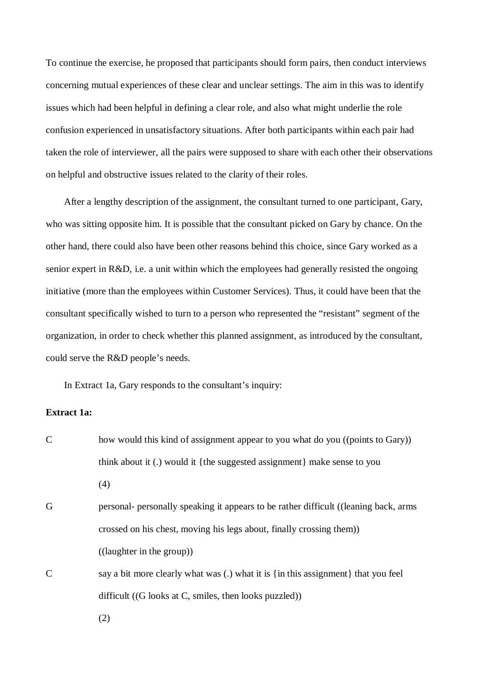To continue the exercise, he proposed that participants should form pairs, then conduct interviews concerning mutual experiences of these clear and unclear settings. The aim in this was to identify issues which had been helpful in defining a clear role, and also what might underlie the role confusion experienced in unsatisfactory situations. After both participants within each pair had taken the role of interviewer, all the pairs were supposed to share with each other their observations on helpful and obstructive issues related to the clarity of their roles.

After a lengthy description of the assignment, the consultant turned to one participant, Gary, who was sitting opposite him. It is possible that the consultant picked on Gary by chance. On the other hand, there could also have been other reasons behind this choice, since Gary worked as a senior expert in R&D, i.e. a unit within which the employees had generally resisted the ongoing initiative (more than the employees within Customer Services). Thus, it could have been that the consultant specifically wished to turn to a person who represented the "resistant" segment of the organization, in order to check whether this planned assignment, as introduced by the consultant, could serve the R&D people's needs.

In Extract 1a, Gary responds to the consultant's inquiry:

#### **Extract 1a:**

C how would this kind of assignment appear to you what do you ((points to Gary)) think about it (.) would it {the suggested assignment} make sense to you (4) G personal- personally speaking it appears to be rather difficult ((leaning back, arms crossed on his chest, moving his legs about, finally crossing them)) ((laughter in the group)) C say a bit more clearly what was (.) what it is {in this assignment} that you feel difficult ((G looks at C, smiles, then looks puzzled)) (2)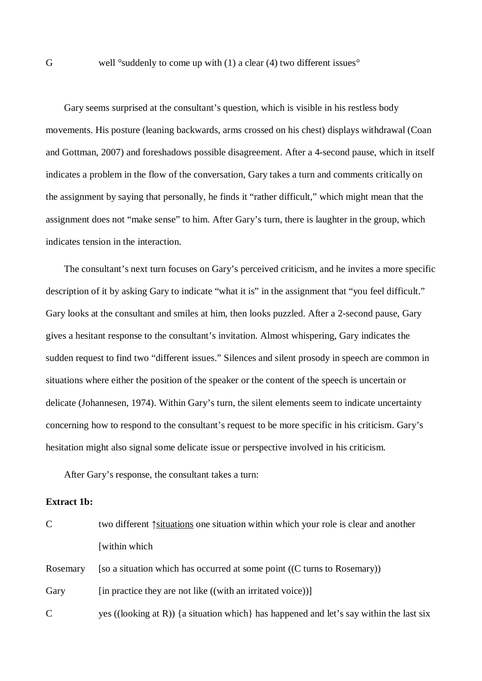Gary seems surprised at the consultant's question, which is visible in his restless body movements. His posture (leaning backwards, arms crossed on his chest) displays withdrawal (Coan and Gottman, 2007) and foreshadows possible disagreement. After a 4-second pause, which in itself indicates a problem in the flow of the conversation, Gary takes a turn and comments critically on the assignment by saying that personally, he finds it "rather difficult," which might mean that the assignment does not "make sense" to him. After Gary's turn, there is laughter in the group, which indicates tension in the interaction.

The consultant's next turn focuses on Gary's perceived criticism, and he invites a more specific description of it by asking Gary to indicate "what it is" in the assignment that "you feel difficult." Gary looks at the consultant and smiles at him, then looks puzzled. After a 2-second pause, Gary gives a hesitant response to the consultant's invitation. Almost whispering, Gary indicates the sudden request to find two "different issues." Silences and silent prosody in speech are common in situations where either the position of the speaker or the content of the speech is uncertain or delicate (Johannesen, 1974). Within Gary's turn, the silent elements seem to indicate uncertainty concerning how to respond to the consultant's request to be more specific in his criticism. Gary's hesitation might also signal some delicate issue or perspective involved in his criticism.

After Gary's response, the consultant takes a turn:

#### **Extract 1b:**

| $\mathbf C$   | two different $\uparrow$ situations one situation within which your role is clear and another |  |
|---------------|-----------------------------------------------------------------------------------------------|--|
|               | [within which]                                                                                |  |
| Rosemary      | [so a situation which has occurred at some point ((C turns to Rosemary))                      |  |
| Gary          | [in practice they are not like ((with an irritated voice))]                                   |  |
| $\mathcal{C}$ | yes ((looking at R)) {a situation which} has happened and let's say within the last six       |  |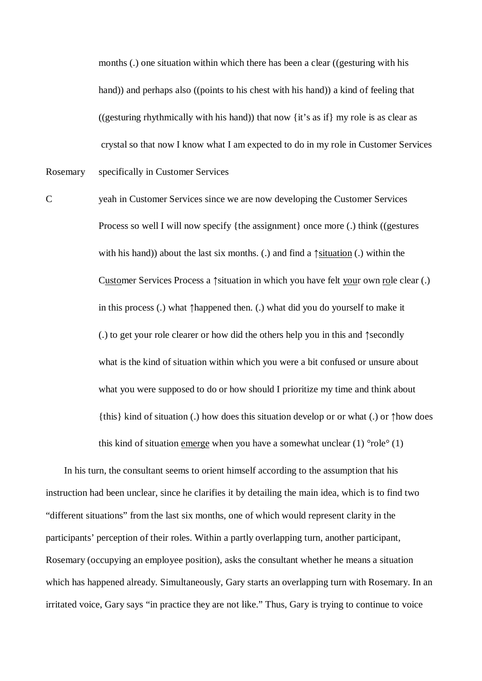months (.) one situation within which there has been a clear ((gesturing with his hand)) and perhaps also ((points to his chest with his hand)) a kind of feeling that ((gesturing rhythmically with his hand)) that now {it's as if} my role is as clear as crystal so that now I know what I am expected to do in my role in Customer Services Rosemary specifically in Customer Services

C yeah in Customer Services since we are now developing the Customer Services Process so well I will now specify {the assignment} once more (.) think ((gestures with his hand)) about the last six months. (.) and find a ↑situation (.) within the Customer Services Process a ↑situation in which you have felt your own role clear (.) in this process (.) what ↑happened then. (.) what did you do yourself to make it (.) to get your role clearer or how did the others help you in this and ↑secondly what is the kind of situation within which you were a bit confused or unsure about what you were supposed to do or how should I prioritize my time and think about {this} kind of situation (.) how does this situation develop or or what (.) or ↑how does this kind of situation emerge when you have a somewhat unclear (1)  $^{\circ}$ role $^{\circ}$  (1)

In his turn, the consultant seems to orient himself according to the assumption that his instruction had been unclear, since he clarifies it by detailing the main idea, which is to find two "different situations" from the last six months, one of which would represent clarity in the participants' perception of their roles. Within a partly overlapping turn, another participant, Rosemary (occupying an employee position), asks the consultant whether he means a situation which has happened already. Simultaneously, Gary starts an overlapping turn with Rosemary. In an irritated voice, Gary says "in practice they are not like." Thus, Gary is trying to continue to voice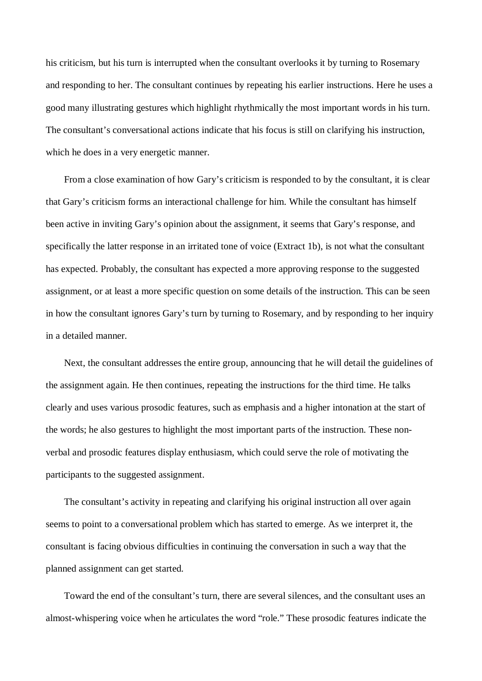his criticism, but his turn is interrupted when the consultant overlooks it by turning to Rosemary and responding to her. The consultant continues by repeating his earlier instructions. Here he uses a good many illustrating gestures which highlight rhythmically the most important words in his turn. The consultant's conversational actions indicate that his focus is still on clarifying his instruction, which he does in a very energetic manner.

From a close examination of how Gary's criticism is responded to by the consultant, it is clear that Gary's criticism forms an interactional challenge for him. While the consultant has himself been active in inviting Gary's opinion about the assignment, it seems that Gary's response, and specifically the latter response in an irritated tone of voice (Extract 1b), is not what the consultant has expected. Probably, the consultant has expected a more approving response to the suggested assignment, or at least a more specific question on some details of the instruction. This can be seen in how the consultant ignores Gary's turn by turning to Rosemary, and by responding to her inquiry in a detailed manner.

Next, the consultant addresses the entire group, announcing that he will detail the guidelines of the assignment again. He then continues, repeating the instructions for the third time. He talks clearly and uses various prosodic features, such as emphasis and a higher intonation at the start of the words; he also gestures to highlight the most important parts of the instruction. These nonverbal and prosodic features display enthusiasm, which could serve the role of motivating the participants to the suggested assignment.

The consultant's activity in repeating and clarifying his original instruction all over again seems to point to a conversational problem which has started to emerge. As we interpret it, the consultant is facing obvious difficulties in continuing the conversation in such a way that the planned assignment can get started.

Toward the end of the consultant's turn, there are several silences, and the consultant uses an almost-whispering voice when he articulates the word "role." These prosodic features indicate the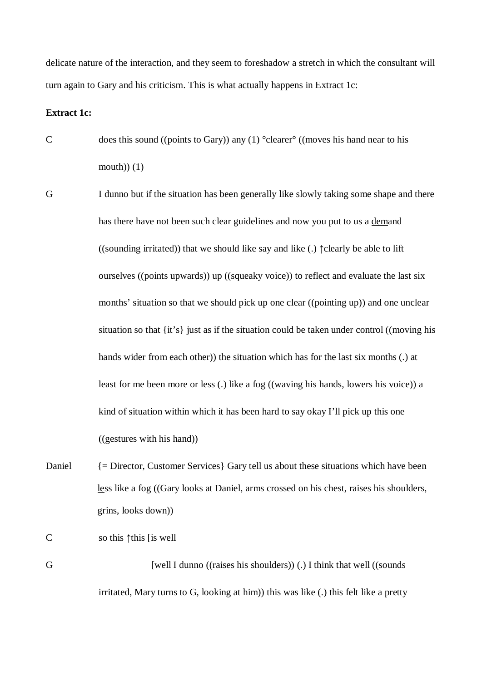delicate nature of the interaction, and they seem to foreshadow a stretch in which the consultant will turn again to Gary and his criticism. This is what actually happens in Extract 1c:

#### **Extract 1c:**

C does this sound ((points to Gary)) any (1)  $^{\circ}$ clearer $^{\circ}$  ((moves his hand near to his mouth $)$  (1)

- G I dunno but if the situation has been generally like slowly taking some shape and there has there have not been such clear guidelines and now you put to us a demand ((sounding irritated)) that we should like say and like  $(.) \uparrow$  clearly be able to lift ourselves ((points upwards)) up ((squeaky voice)) to reflect and evaluate the last six months' situation so that we should pick up one clear ((pointing up)) and one unclear situation so that {it's} just as if the situation could be taken under control ((moving his hands wider from each other)) the situation which has for the last six months (.) at least for me been more or less (.) like a fog ((waving his hands, lowers his voice)) a kind of situation within which it has been hard to say okay I'll pick up this one ((gestures with his hand))
- Daniel  $\{\equiv\}$  Director, Customer Services Gary tell us about these situations which have been less like a fog ((Gary looks at Daniel, arms crossed on his chest, raises his shoulders, grins, looks down))

C so this ↑this [is well

G [well I dunno ((raises his shoulders)) (.) I think that well ((sounds irritated, Mary turns to G, looking at him)) this was like (.) this felt like a pretty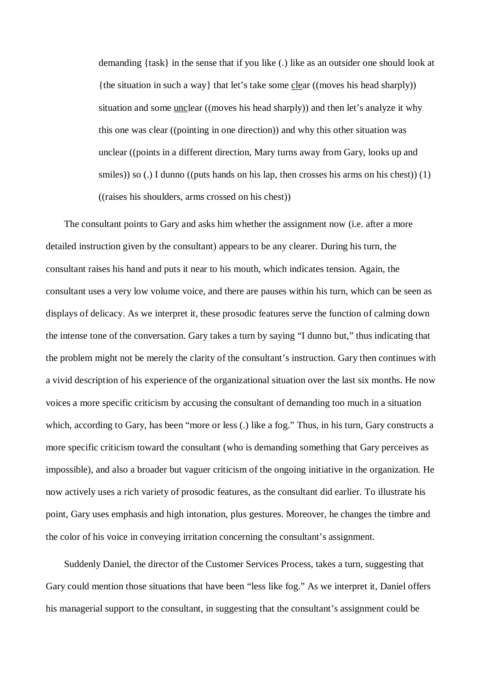demanding {task} in the sense that if you like (.) like as an outsider one should look at {the situation in such a way} that let's take some clear ((moves his head sharply)) situation and some unclear ((moves his head sharply)) and then let's analyze it why this one was clear ((pointing in one direction)) and why this other situation was unclear ((points in a different direction, Mary turns away from Gary, looks up and smiles)) so (.) I dunno ((puts hands on his lap, then crosses his arms on his chest)) (1) ((raises his shoulders, arms crossed on his chest))

The consultant points to Gary and asks him whether the assignment now (i.e. after a more detailed instruction given by the consultant) appears to be any clearer. During his turn, the consultant raises his hand and puts it near to his mouth, which indicates tension. Again, the consultant uses a very low volume voice, and there are pauses within his turn, which can be seen as displays of delicacy. As we interpret it, these prosodic features serve the function of calming down the intense tone of the conversation. Gary takes a turn by saying "I dunno but," thus indicating that the problem might not be merely the clarity of the consultant's instruction. Gary then continues with a vivid description of his experience of the organizational situation over the last six months. He now voices a more specific criticism by accusing the consultant of demanding too much in a situation which, according to Gary, has been "more or less (.) like a fog." Thus, in his turn, Gary constructs a more specific criticism toward the consultant (who is demanding something that Gary perceives as impossible), and also a broader but vaguer criticism of the ongoing initiative in the organization. He now actively uses a rich variety of prosodic features, as the consultant did earlier. To illustrate his point, Gary uses emphasis and high intonation, plus gestures. Moreover, he changes the timbre and the color of his voice in conveying irritation concerning the consultant's assignment.

Suddenly Daniel, the director of the Customer Services Process, takes a turn, suggesting that Gary could mention those situations that have been "less like fog." As we interpret it, Daniel offers his managerial support to the consultant, in suggesting that the consultant's assignment could be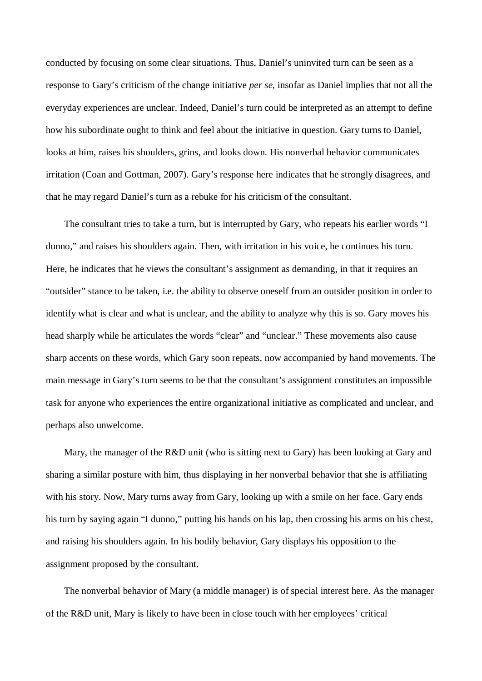conducted by focusing on some clear situations. Thus, Daniel's uninvited turn can be seen as a response to Gary's criticism of the change initiative *per se,* insofar as Daniel implies that not all the everyday experiences are unclear. Indeed, Daniel's turn could be interpreted as an attempt to define how his subordinate ought to think and feel about the initiative in question. Gary turns to Daniel, looks at him, raises his shoulders, grins, and looks down. His nonverbal behavior communicates irritation (Coan and Gottman, 2007). Gary's response here indicates that he strongly disagrees, and that he may regard Daniel's turn as a rebuke for his criticism of the consultant.

The consultant tries to take a turn, but is interrupted by Gary, who repeats his earlier words "I dunno," and raises his shoulders again. Then, with irritation in his voice, he continues his turn. Here, he indicates that he views the consultant's assignment as demanding, in that it requires an "outsider" stance to be taken, i.e. the ability to observe oneself from an outsider position in order to identify what is clear and what is unclear, and the ability to analyze why this is so. Gary moves his head sharply while he articulates the words "clear" and "unclear." These movements also cause sharp accents on these words, which Gary soon repeats, now accompanied by hand movements. The main message in Gary's turn seems to be that the consultant's assignment constitutes an impossible task for anyone who experiences the entire organizational initiative as complicated and unclear, and perhaps also unwelcome.

Mary, the manager of the R&D unit (who is sitting next to Gary) has been looking at Gary and sharing a similar posture with him, thus displaying in her nonverbal behavior that she is affiliating with his story. Now, Mary turns away from Gary, looking up with a smile on her face. Gary ends his turn by saying again "I dunno," putting his hands on his lap, then crossing his arms on his chest, and raising his shoulders again. In his bodily behavior, Gary displays his opposition to the assignment proposed by the consultant.

The nonverbal behavior of Mary (a middle manager) is of special interest here. As the manager of the R&D unit, Mary is likely to have been in close touch with her employees' critical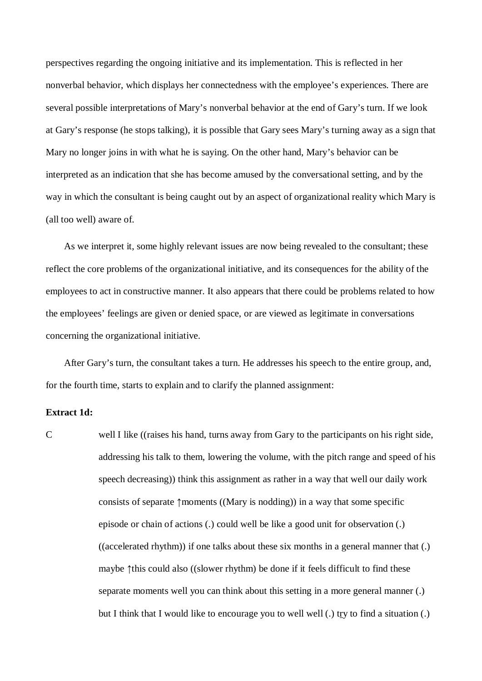perspectives regarding the ongoing initiative and its implementation. This is reflected in her nonverbal behavior, which displays her connectedness with the employee's experiences. There are several possible interpretations of Mary's nonverbal behavior at the end of Gary's turn. If we look at Gary's response (he stops talking), it is possible that Gary sees Mary's turning away as a sign that Mary no longer joins in with what he is saying. On the other hand, Mary's behavior can be interpreted as an indication that she has become amused by the conversational setting, and by the way in which the consultant is being caught out by an aspect of organizational reality which Mary is (all too well) aware of.

As we interpret it, some highly relevant issues are now being revealed to the consultant; these reflect the core problems of the organizational initiative, and its consequences for the ability of the employees to act in constructive manner. It also appears that there could be problems related to how the employees' feelings are given or denied space, or are viewed as legitimate in conversations concerning the organizational initiative.

After Gary's turn, the consultant takes a turn. He addresses his speech to the entire group, and, for the fourth time, starts to explain and to clarify the planned assignment:

#### **Extract 1d:**

C well I like ((raises his hand, turns away from Gary to the participants on his right side, addressing his talk to them, lowering the volume, with the pitch range and speed of his speech decreasing)) think this assignment as rather in a way that well our daily work consists of separate ↑moments ((Mary is nodding)) in a way that some specific episode or chain of actions (.) could well be like a good unit for observation (.) ((accelerated rhythm)) if one talks about these six months in a general manner that (.) maybe ↑this could also ((slower rhythm) be done if it feels difficult to find these separate moments well you can think about this setting in a more general manner (.) but I think that I would like to encourage you to well well (.) try to find a situation (.)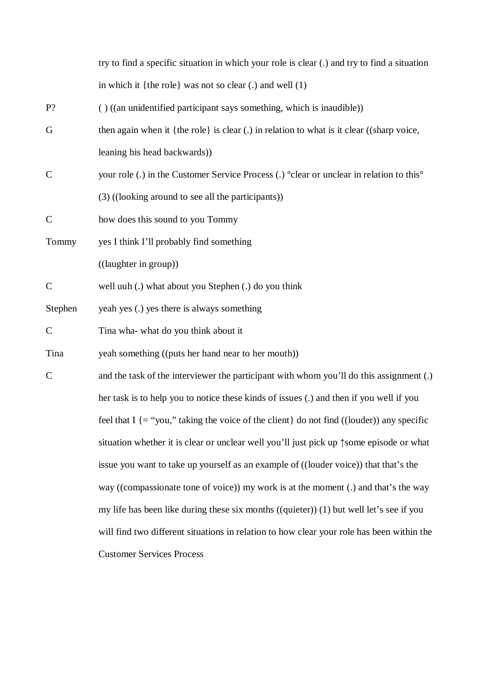|             | try to find a specific situation in which your role is clear (.) and try to find a situation          |  |
|-------------|-------------------------------------------------------------------------------------------------------|--|
|             | in which it {the role} was not so clear $(.)$ and well $(1)$                                          |  |
| P?          | () ((an unidentified participant says something, which is inaudible))                                 |  |
| G           | then again when it {the role} is clear (.) in relation to what is it clear ((sharp voice,             |  |
|             | leaning his head backwards))                                                                          |  |
| $\mathbf C$ | your role (.) in the Customer Service Process (.) ° clear or unclear in relation to this <sup>°</sup> |  |
|             | (3) ((looking around to see all the participants))                                                    |  |
| $\mathbf C$ | how does this sound to you Tommy                                                                      |  |
| Tommy       | yes I think I'll probably find something                                                              |  |
|             | ((laughter in group))                                                                                 |  |
| $\mathbf C$ | well uuh (.) what about you Stephen (.) do you think                                                  |  |
| Stephen     | yeah yes (.) yes there is always something                                                            |  |
| $\mathbf C$ | Tina wha- what do you think about it                                                                  |  |
| Tina        | yeah something ((puts her hand near to her mouth))                                                    |  |
| $\mathbf C$ | and the task of the interviewer the participant with whom you'll do this assignment (.)               |  |
|             | her task is to help you to notice these kinds of issues (.) and then if you well if you               |  |
|             | feel that I $\{ =$ "you," taking the voice of the client $\}$ do not find ((louder)) any specific     |  |
|             | situation whether it is clear or unclear well you'll just pick up $\uparrow$ some episode or what     |  |
|             | issue you want to take up yourself as an example of ((louder voice)) that that's the                  |  |
|             | way ((compassionate tone of voice)) my work is at the moment (.) and that's the way                   |  |
|             | my life has been like during these six months ((quieter)) (1) but well let's see if you               |  |
|             | will find two different situations in relation to how clear your role has been within the             |  |
|             | <b>Customer Services Process</b>                                                                      |  |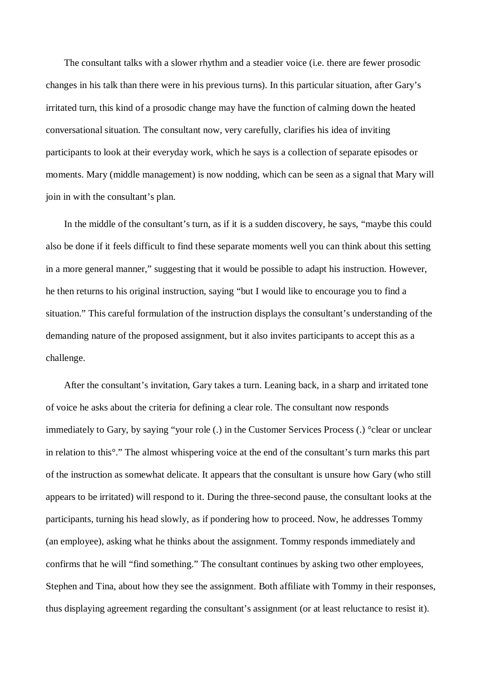The consultant talks with a slower rhythm and a steadier voice (i.e. there are fewer prosodic changes in his talk than there were in his previous turns). In this particular situation, after Gary's irritated turn, this kind of a prosodic change may have the function of calming down the heated conversational situation. The consultant now, very carefully, clarifies his idea of inviting participants to look at their everyday work, which he says is a collection of separate episodes or moments. Mary (middle management) is now nodding, which can be seen as a signal that Mary will join in with the consultant's plan.

In the middle of the consultant's turn, as if it is a sudden discovery, he says, "maybe this could also be done if it feels difficult to find these separate moments well you can think about this setting in a more general manner," suggesting that it would be possible to adapt his instruction. However, he then returns to his original instruction, saying "but I would like to encourage you to find a situation." This careful formulation of the instruction displays the consultant's understanding of the demanding nature of the proposed assignment, but it also invites participants to accept this as a challenge.

After the consultant's invitation, Gary takes a turn. Leaning back, in a sharp and irritated tone of voice he asks about the criteria for defining a clear role. The consultant now responds immediately to Gary, by saying "your role (.) in the Customer Services Process (.) °clear or unclear in relation to this°." The almost whispering voice at the end of the consultant's turn marks this part of the instruction as somewhat delicate. It appears that the consultant is unsure how Gary (who still appears to be irritated) will respond to it. During the three-second pause, the consultant looks at the participants, turning his head slowly, as if pondering how to proceed. Now, he addresses Tommy (an employee), asking what he thinks about the assignment. Tommy responds immediately and confirms that he will "find something." The consultant continues by asking two other employees, Stephen and Tina, about how they see the assignment. Both affiliate with Tommy in their responses, thus displaying agreement regarding the consultant's assignment (or at least reluctance to resist it).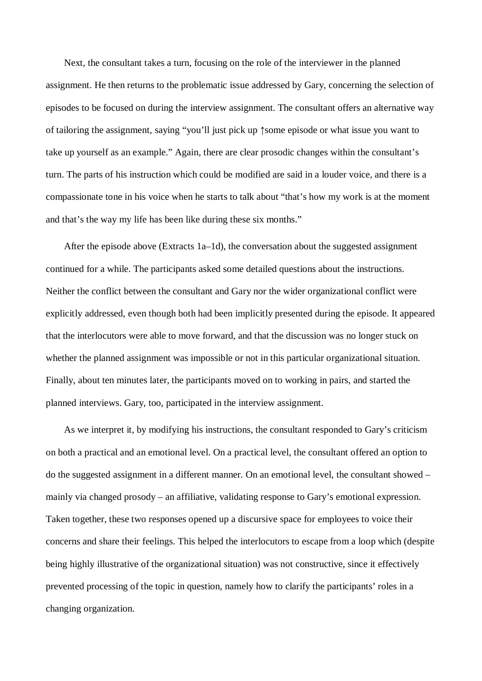Next, the consultant takes a turn, focusing on the role of the interviewer in the planned assignment. He then returns to the problematic issue addressed by Gary, concerning the selection of episodes to be focused on during the interview assignment. The consultant offers an alternative way of tailoring the assignment, saying "you'll just pick up ↑some episode or what issue you want to take up yourself as an example." Again, there are clear prosodic changes within the consultant's turn. The parts of his instruction which could be modified are said in a louder voice, and there is a compassionate tone in his voice when he starts to talk about "that's how my work is at the moment and that's the way my life has been like during these six months."

After the episode above (Extracts 1a–1d), the conversation about the suggested assignment continued for a while. The participants asked some detailed questions about the instructions. Neither the conflict between the consultant and Gary nor the wider organizational conflict were explicitly addressed, even though both had been implicitly presented during the episode. It appeared that the interlocutors were able to move forward, and that the discussion was no longer stuck on whether the planned assignment was impossible or not in this particular organizational situation. Finally, about ten minutes later, the participants moved on to working in pairs, and started the planned interviews. Gary, too, participated in the interview assignment.

As we interpret it, by modifying his instructions, the consultant responded to Gary's criticism on both a practical and an emotional level. On a practical level, the consultant offered an option to do the suggested assignment in a different manner. On an emotional level, the consultant showed – mainly via changed prosody – an affiliative, validating response to Gary's emotional expression. Taken together, these two responses opened up a discursive space for employees to voice their concerns and share their feelings. This helped the interlocutors to escape from a loop which (despite being highly illustrative of the organizational situation) was not constructive, since it effectively prevented processing of the topic in question, namely how to clarify the participants' roles in a changing organization.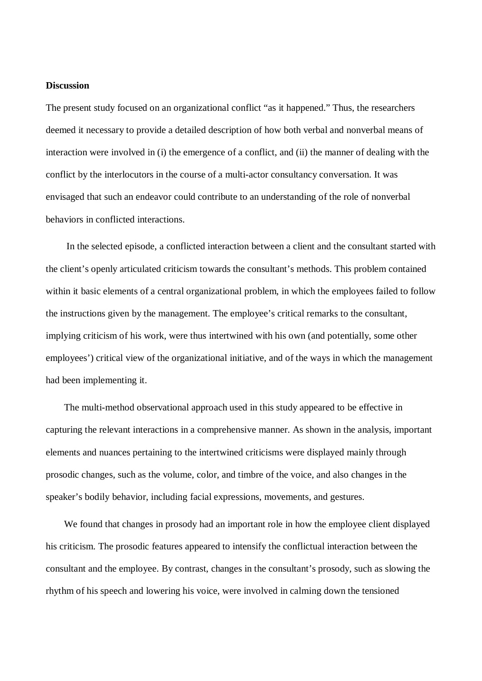#### **Discussion**

The present study focused on an organizational conflict "as it happened." Thus, the researchers deemed it necessary to provide a detailed description of how both verbal and nonverbal means of interaction were involved in (i) the emergence of a conflict, and (ii) the manner of dealing with the conflict by the interlocutors in the course of a multi-actor consultancy conversation. It was envisaged that such an endeavor could contribute to an understanding of the role of nonverbal behaviors in conflicted interactions.

 In the selected episode, a conflicted interaction between a client and the consultant started with the client's openly articulated criticism towards the consultant's methods. This problem contained within it basic elements of a central organizational problem, in which the employees failed to follow the instructions given by the management. The employee's critical remarks to the consultant, implying criticism of his work, were thus intertwined with his own (and potentially, some other employees') critical view of the organizational initiative, and of the ways in which the management had been implementing it.

The multi-method observational approach used in this study appeared to be effective in capturing the relevant interactions in a comprehensive manner. As shown in the analysis, important elements and nuances pertaining to the intertwined criticisms were displayed mainly through prosodic changes, such as the volume, color, and timbre of the voice, and also changes in the speaker's bodily behavior, including facial expressions, movements, and gestures.

We found that changes in prosody had an important role in how the employee client displayed his criticism. The prosodic features appeared to intensify the conflictual interaction between the consultant and the employee. By contrast, changes in the consultant's prosody, such as slowing the rhythm of his speech and lowering his voice, were involved in calming down the tensioned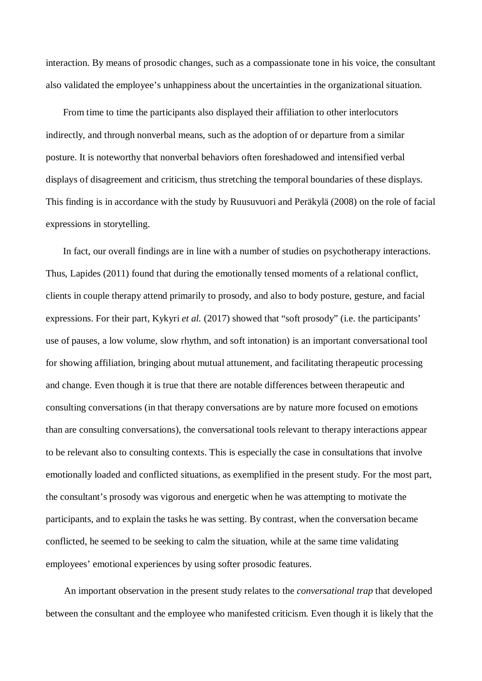interaction. By means of prosodic changes, such as a compassionate tone in his voice, the consultant also validated the employee's unhappiness about the uncertainties in the organizational situation.

From time to time the participants also displayed their affiliation to other interlocutors indirectly, and through nonverbal means, such as the adoption of or departure from a similar posture. It is noteworthy that nonverbal behaviors often foreshadowed and intensified verbal displays of disagreement and criticism, thus stretching the temporal boundaries of these displays. This finding is in accordance with the study by Ruusuvuori and Peräkylä (2008) on the role of facial expressions in storytelling.

In fact, our overall findings are in line with a number of studies on psychotherapy interactions. Thus, Lapides (2011) found that during the emotionally tensed moments of a relational conflict, clients in couple therapy attend primarily to prosody, and also to body posture, gesture, and facial expressions. For their part, Kykyri *et al.* (2017) showed that "soft prosody" (i.e. the participants' use of pauses, a low volume, slow rhythm, and soft intonation) is an important conversational tool for showing affiliation, bringing about mutual attunement, and facilitating therapeutic processing and change. Even though it is true that there are notable differences between therapeutic and consulting conversations (in that therapy conversations are by nature more focused on emotions than are consulting conversations), the conversational tools relevant to therapy interactions appear to be relevant also to consulting contexts. This is especially the case in consultations that involve emotionally loaded and conflicted situations, as exemplified in the present study. For the most part, the consultant's prosody was vigorous and energetic when he was attempting to motivate the participants, and to explain the tasks he was setting. By contrast, when the conversation became conflicted, he seemed to be seeking to calm the situation, while at the same time validating employees' emotional experiences by using softer prosodic features.

An important observation in the present study relates to the *conversational trap* that developed between the consultant and the employee who manifested criticism. Even though it is likely that the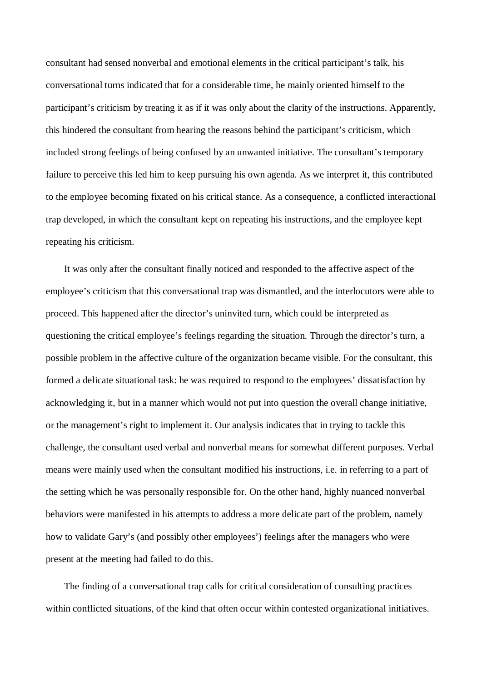consultant had sensed nonverbal and emotional elements in the critical participant's talk, his conversational turns indicated that for a considerable time, he mainly oriented himself to the participant's criticism by treating it as if it was only about the clarity of the instructions. Apparently, this hindered the consultant from hearing the reasons behind the participant's criticism, which included strong feelings of being confused by an unwanted initiative. The consultant's temporary failure to perceive this led him to keep pursuing his own agenda. As we interpret it, this contributed to the employee becoming fixated on his critical stance. As a consequence, a conflicted interactional trap developed, in which the consultant kept on repeating his instructions, and the employee kept repeating his criticism.

It was only after the consultant finally noticed and responded to the affective aspect of the employee's criticism that this conversational trap was dismantled, and the interlocutors were able to proceed. This happened after the director's uninvited turn, which could be interpreted as questioning the critical employee's feelings regarding the situation. Through the director's turn, a possible problem in the affective culture of the organization became visible. For the consultant, this formed a delicate situational task: he was required to respond to the employees' dissatisfaction by acknowledging it, but in a manner which would not put into question the overall change initiative, or the management's right to implement it. Our analysis indicates that in trying to tackle this challenge, the consultant used verbal and nonverbal means for somewhat different purposes. Verbal means were mainly used when the consultant modified his instructions, i.e. in referring to a part of the setting which he was personally responsible for. On the other hand, highly nuanced nonverbal behaviors were manifested in his attempts to address a more delicate part of the problem, namely how to validate Gary's (and possibly other employees') feelings after the managers who were present at the meeting had failed to do this.

The finding of a conversational trap calls for critical consideration of consulting practices within conflicted situations, of the kind that often occur within contested organizational initiatives.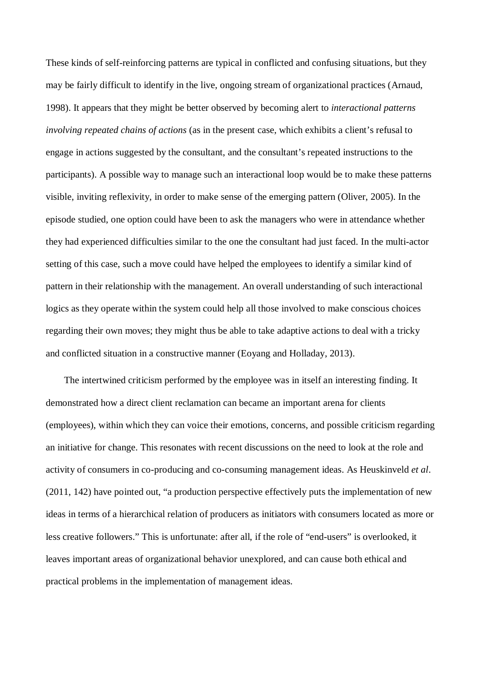These kinds of self-reinforcing patterns are typical in conflicted and confusing situations, but they may be fairly difficult to identify in the live, ongoing stream of organizational practices (Arnaud, 1998). It appears that they might be better observed by becoming alert to *interactional patterns involving repeated chains of actions* (as in the present case, which exhibits a client's refusal to engage in actions suggested by the consultant, and the consultant's repeated instructions to the participants). A possible way to manage such an interactional loop would be to make these patterns visible, inviting reflexivity, in order to make sense of the emerging pattern (Oliver, 2005). In the episode studied, one option could have been to ask the managers who were in attendance whether they had experienced difficulties similar to the one the consultant had just faced. In the multi-actor setting of this case, such a move could have helped the employees to identify a similar kind of pattern in their relationship with the management. An overall understanding of such interactional logics as they operate within the system could help all those involved to make conscious choices regarding their own moves; they might thus be able to take adaptive actions to deal with a tricky and conflicted situation in a constructive manner (Eoyang and Holladay, 2013).

The intertwined criticism performed by the employee was in itself an interesting finding. It demonstrated how a direct client reclamation can became an important arena for clients (employees), within which they can voice their emotions, concerns, and possible criticism regarding an initiative for change. This resonates with recent discussions on the need to look at the role and activity of consumers in co-producing and co-consuming management ideas. As Heuskinveld *et al*. (2011, 142) have pointed out, "a production perspective effectively puts the implementation of new ideas in terms of a hierarchical relation of producers as initiators with consumers located as more or less creative followers." This is unfortunate: after all, if the role of "end-users" is overlooked, it leaves important areas of organizational behavior unexplored, and can cause both ethical and practical problems in the implementation of management ideas.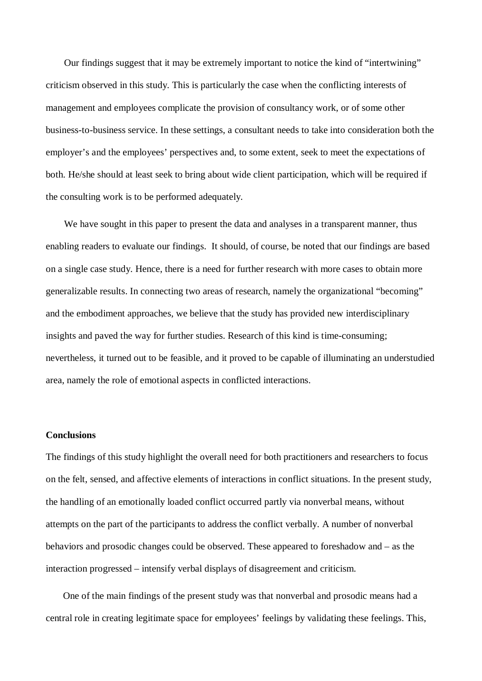Our findings suggest that it may be extremely important to notice the kind of "intertwining" criticism observed in this study. This is particularly the case when the conflicting interests of management and employees complicate the provision of consultancy work, or of some other business-to-business service. In these settings, a consultant needs to take into consideration both the employer's and the employees' perspectives and, to some extent, seek to meet the expectations of both. He/she should at least seek to bring about wide client participation, which will be required if the consulting work is to be performed adequately.

We have sought in this paper to present the data and analyses in a transparent manner, thus enabling readers to evaluate our findings. It should, of course, be noted that our findings are based on a single case study. Hence, there is a need for further research with more cases to obtain more generalizable results. In connecting two areas of research, namely the organizational "becoming" and the embodiment approaches, we believe that the study has provided new interdisciplinary insights and paved the way for further studies. Research of this kind is time-consuming; nevertheless, it turned out to be feasible, and it proved to be capable of illuminating an understudied area, namely the role of emotional aspects in conflicted interactions.

#### **Conclusions**

The findings of this study highlight the overall need for both practitioners and researchers to focus on the felt, sensed, and affective elements of interactions in conflict situations. In the present study, the handling of an emotionally loaded conflict occurred partly via nonverbal means, without attempts on the part of the participants to address the conflict verbally. A number of nonverbal behaviors and prosodic changes could be observed. These appeared to foreshadow and – as the interaction progressed – intensify verbal displays of disagreement and criticism.

One of the main findings of the present study was that nonverbal and prosodic means had a central role in creating legitimate space for employees' feelings by validating these feelings. This,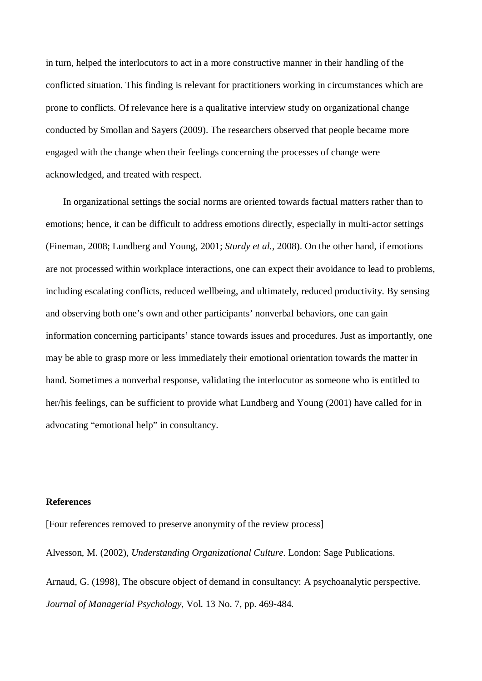in turn, helped the interlocutors to act in a more constructive manner in their handling of the conflicted situation. This finding is relevant for practitioners working in circumstances which are prone to conflicts. Of relevance here is a qualitative interview study on organizational change conducted by Smollan and Sayers (2009). The researchers observed that people became more engaged with the change when their feelings concerning the processes of change were acknowledged, and treated with respect.

In organizational settings the social norms are oriented towards factual matters rather than to emotions; hence, it can be difficult to address emotions directly, especially in multi-actor settings (Fineman, 2008; Lundberg and Young, 2001; *Sturdy et al.,* 2008). On the other hand, if emotions are not processed within workplace interactions, one can expect their avoidance to lead to problems, including escalating conflicts, reduced wellbeing, and ultimately, reduced productivity. By sensing and observing both one's own and other participants' nonverbal behaviors, one can gain information concerning participants' stance towards issues and procedures. Just as importantly, one may be able to grasp more or less immediately their emotional orientation towards the matter in hand. Sometimes a nonverbal response, validating the interlocutor as someone who is entitled to her/his feelings, can be sufficient to provide what Lundberg and Young (2001) have called for in advocating "emotional help" in consultancy.

#### **References**

[Four references removed to preserve anonymity of the review process]

Alvesson, M. (2002), *Understanding Organizational Culture*. London: Sage Publications.

Arnaud, G. (1998), The obscure object of demand in consultancy: A psychoanalytic perspective. *Journal of Managerial Psychology*, Vol. 13 No. 7, pp. 469-484.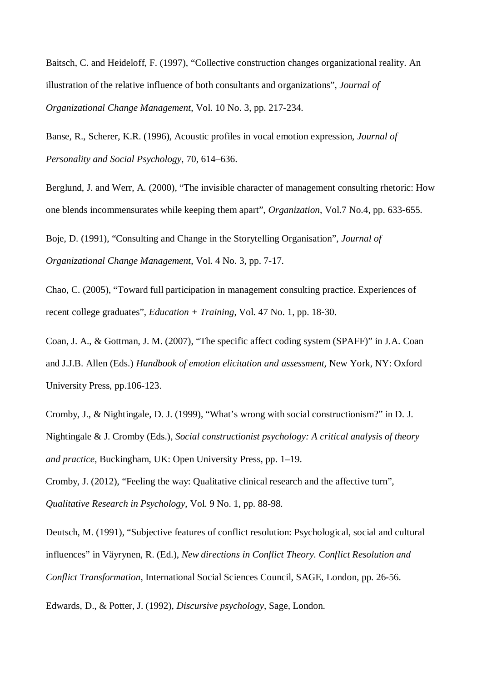Baitsch, C. and Heideloff, F. (1997), "Collective construction changes organizational reality. An illustration of the relative influence of both consultants and organizations", *Journal of Organizational Change Management*, Vol. 10 No. 3, pp. 217-234.

Banse, R., Scherer, K.R. (1996), Acoustic profiles in vocal emotion expression, *Journal of Personality and Social Psychology*, 70, 614–636.

Berglund, J. and Werr, A. (2000), "The invisible character of management consulting rhetoric: How one blends incommensurates while keeping them apart", *Organization*, Vol.7 No.4, pp. 633-655.

Boje, D. (1991), "Consulting and Change in the Storytelling Organisation", *Journal of Organizational Change Management*, Vol. 4 No. 3, pp. 7-17.

Chao, C. (2005), "Toward full participation in management consulting practice. Experiences of recent college graduates", *Education + Training*, Vol. 47 No. 1, pp. 18-30.

Coan, J. A., & Gottman, J. M. (2007), "The specific affect coding system (SPAFF)" in J.A. Coan and J.J.B. Allen (Eds.) *Handbook of emotion elicitation and assessment,* New York, NY: Oxford University Press, pp.106-123.

Cromby, J., & Nightingale, D. J. (1999), "What's wrong with social constructionism?" in D. J. Nightingale & J. Cromby (Eds.), *Social constructionist psychology: A critical analysis of theory and practice,* Buckingham, UK: Open University Press, pp. 1–19.

Cromby, J. (2012), "Feeling the way: Qualitative clinical research and the affective turn", *Qualitative Research in Psychology*, Vol. 9 No. 1, pp. 88-98.

Deutsch, M. (1991), "Subjective features of conflict resolution: Psychological, social and cultural influences" in Väyrynen, R. (Ed.), *New directions in Conflict Theory. Conflict Resolution and Conflict Transformation*, International Social Sciences Council, SAGE, London, pp. 26-56.

Edwards, D., & Potter, J. (1992), *Discursive psychology*, Sage, London.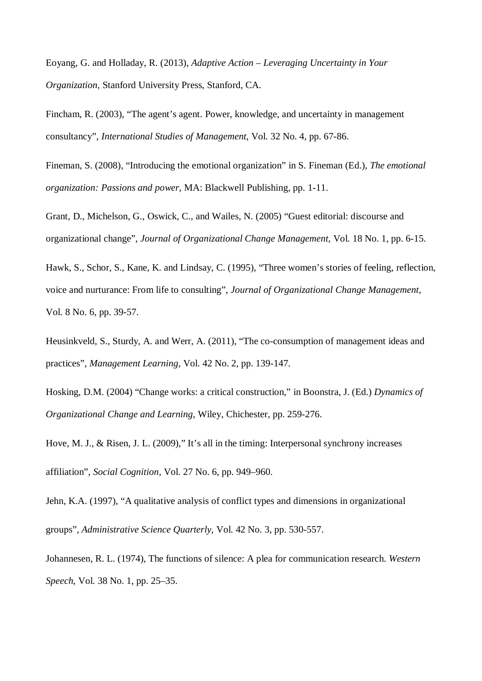Eoyang, G. and Holladay, R. (2013), *Adaptive Action – Leveraging Uncertainty in Your Organization*, Stanford University Press, Stanford, CA.

Fincham, R. (2003), "The agent's agent. Power, knowledge, and uncertainty in management consultancy", *International Studies of Management*, Vol. 32 No. 4, pp. 67-86.

Fineman, S. (2008), "Introducing the emotional organization" in S. Fineman (Ed.), *The emotional organization: Passions and power*, MA: Blackwell Publishing, pp. 1-11.

Grant, D., Michelson, G., Oswick, C., and Wailes, N. (2005) "Guest editorial: discourse and organizational change", *Journal of Organizational Change Management*, Vol. 18 No. 1, pp. 6-15.

Hawk, S., Schor, S., Kane, K. and Lindsay, C. (1995), "Three women's stories of feeling, reflection, voice and nurturance: From life to consulting", *Journal of Organizational Change Management*, Vol. 8 No. 6, pp. 39-57.

Heusinkveld, S., Sturdy, A. and Werr, A. (2011), "The co-consumption of management ideas and practices", *Management Learning*, Vol. 42 No. 2, pp. 139-147.

Hosking, D.M. (2004) "Change works: a critical construction," in Boonstra, J. (Ed.) *Dynamics of Organizational Change and Learning*, Wiley, Chichester, pp. 259-276.

Hove, M. J., & Risen, J. L. (2009)," It's all in the timing: Interpersonal synchrony increases affiliation", *Social Cognition*, Vol. 27 No. 6, pp. 949–960.

Jehn, K.A. (1997), "A qualitative analysis of conflict types and dimensions in organizational groups", *Administrative Science Quarterly*, Vol. 42 No. 3, pp. 530-557.

Johannesen, R. L. (1974), The functions of silence: A plea for communication research. *Western Speech*, Vol. 38 No. 1, pp. 25–35.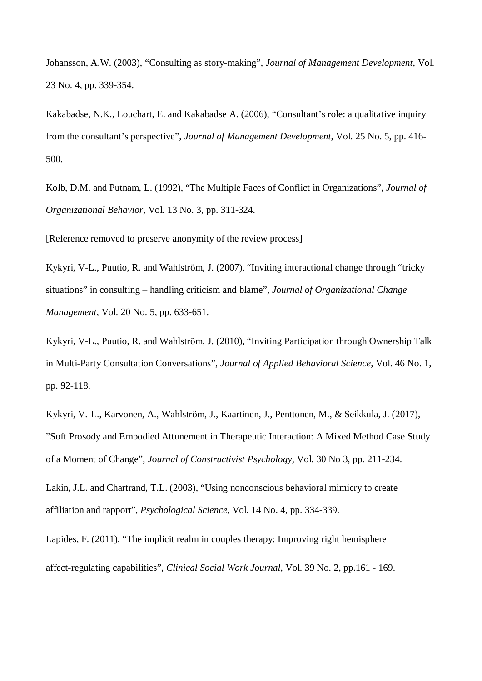Johansson, A.W. (2003), "Consulting as story-making", *Journal of Management Development*, Vol. 23 No. 4, pp. 339-354.

Kakabadse, N.K., Louchart, E. and Kakabadse A. (2006), "Consultant's role: a qualitative inquiry from the consultant's perspective", *Journal of Management Development*, Vol. 25 No. 5, pp. 416- 500.

Kolb, D.M. and Putnam, L. (1992), "The Multiple Faces of Conflict in Organizations", *Journal of Organizational Behavior*, Vol. 13 No. 3, pp. 311-324.

[Reference removed to preserve anonymity of the review process]

Kykyri, V-L., Puutio, R. and Wahlström, J. (2007), "Inviting interactional change through "tricky situations" in consulting – handling criticism and blame", *Journal of Organizational Change Management*, Vol. 20 No. 5, pp. 633-651.

Kykyri, V-L., Puutio, R. and Wahlström, J. (2010), "Inviting Participation through Ownership Talk in Multi-Party Consultation Conversations", *Journal of Applied Behavioral Science*, Vol. 46 No. 1, pp. 92-118.

Kykyri, V.-L., Karvonen, A., Wahlström, J., Kaartinen, J., Penttonen, M., & Seikkula, J. (2017), "Soft Prosody and Embodied Attunement in Therapeutic Interaction: A Mixed Method Case Study of a Moment of Change", *Journal of Constructivist Psychology,* Vol. 30 No 3, pp. 211-234.

Lakin, J.L. and Chartrand, T.L. (2003), "Using nonconscious behavioral mimicry to create affiliation and rapport", *Psychological Science*, Vol. 14 No. 4, pp. 334-339.

Lapides, F. (2011), "The implicit realm in couples therapy: Improving right hemisphere affect-regulating capabilities", *Clinical Social Work Journal*, Vol. 39 No. 2, pp.161 - 169.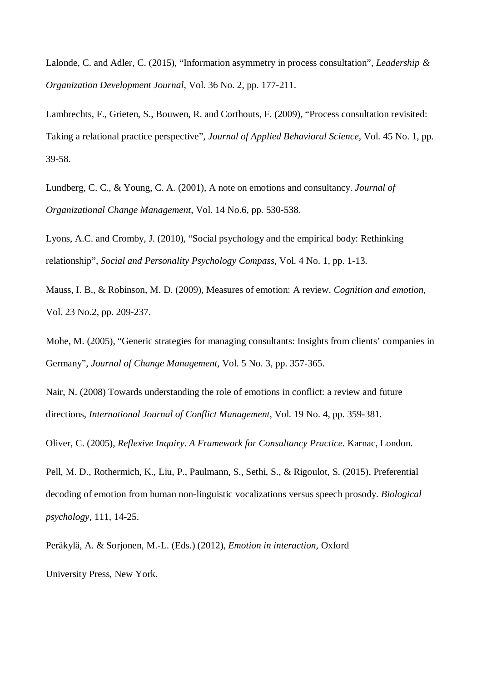Lalonde, C. and Adler, C. (2015), "Information asymmetry in process consultation", *Leadership & Organization Development Journal*, Vol. 36 No. 2, pp. 177-211.

Lambrechts, F., Grieten, S., Bouwen, R. and Corthouts, F. (2009), "Process consultation revisited: Taking a relational practice perspective", *Journal of Applied Behavioral Science*, Vol. 45 No. 1, pp. 39-58.

Lundberg, C. C., & Young, C. A. (2001), A note on emotions and consultancy. *Journal of Organizational Change Management*, Vol. 14 No.6, pp. 530-538.

Lyons, A.C. and Cromby, J. (2010), "Social psychology and the empirical body: Rethinking relationship", *Social and Personality Psychology Compass*, Vol. 4 No. 1, pp. 1-13.

Mauss, I. B., & Robinson, M. D. (2009), Measures of emotion: A review. *Cognition and emotion*, Vol. 23 No.2, pp. 209-237.

Mohe, M. (2005), "Generic strategies for managing consultants: Insights from clients' companies in Germany", *Journal of Change Management*, Vol. 5 No. 3, pp. 357-365.

Nair, N. (2008) Towards understanding the role of emotions in conflict: a review and future directions, *International Journal of Conflict Management*, Vol. 19 No. 4, pp. 359-381.

Oliver, C. (2005), *Reflexive Inquiry*. *A Framework for Consultancy Practice.* Karnac, London.

Pell, M. D., Rothermich, K., Liu, P., Paulmann, S., Sethi, S., & Rigoulot, S. (2015), Preferential decoding of emotion from human non-linguistic vocalizations versus speech prosody. *Biological psychology*, 111, 14-25.

Peräkylä, A. & Sorjonen, M.-L. (Eds.) (2012), *Emotion in interaction*, Oxford

University Press, New York.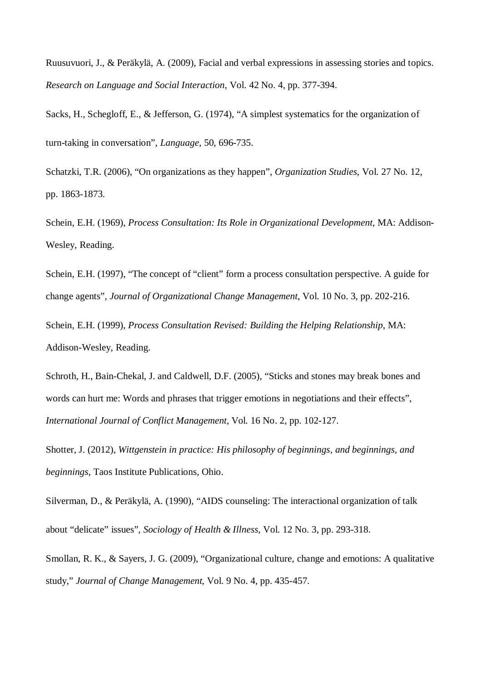Ruusuvuori, J., & Peräkylä, A. (2009), Facial and verbal expressions in assessing stories and topics. *Research on Language and Social Interaction*, Vol. 42 No. 4, pp. 377-394.

Sacks, H., Schegloff, E., & Jefferson, G. (1974), "A simplest systematics for the organization of turn-taking in conversation", *Language*, 50, 696-735.

Schatzki, T.R. (2006), "On organizations as they happen", *Organization Studies*, Vol. 27 No. 12, pp. 1863-1873.

Schein, E.H. (1969), *Process Consultation: Its Role in Organizational Development*, MA: Addison-Wesley, Reading.

Schein, E.H. (1997), "The concept of "client" form a process consultation perspective. A guide for change agents", *Journal of Organizational Change Management*, Vol. 10 No. 3, pp. 202-216.

Schein, E.H. (1999), *Process Consultation Revised: Building the Helping Relationship*, MA: Addison-Wesley, Reading.

Schroth, H., Bain‐Chekal, J. and Caldwell, D.F. (2005), "Sticks and stones may break bones and words can hurt me: Words and phrases that trigger emotions in negotiations and their effects", *International Journal of Conflict Management*, Vol. 16 No. 2, pp. 102-127.

Shotter, J. (2012), *Wittgenstein in practice: His philosophy of beginnings, and beginnings, and beginnings*, Taos Institute Publications, Ohio.

Silverman, D., & Peräkylä, A. (1990), "AIDS counseling: The interactional organization of talk about "delicate" issues", *Sociology of Health & Illness*, Vol. 12 No. 3, pp. 293-318.

Smollan, R. K., & Sayers, J. G. (2009), "Organizational culture, change and emotions: A qualitative study," *Journal of Change Management*, Vol. 9 No. 4, pp. 435-457.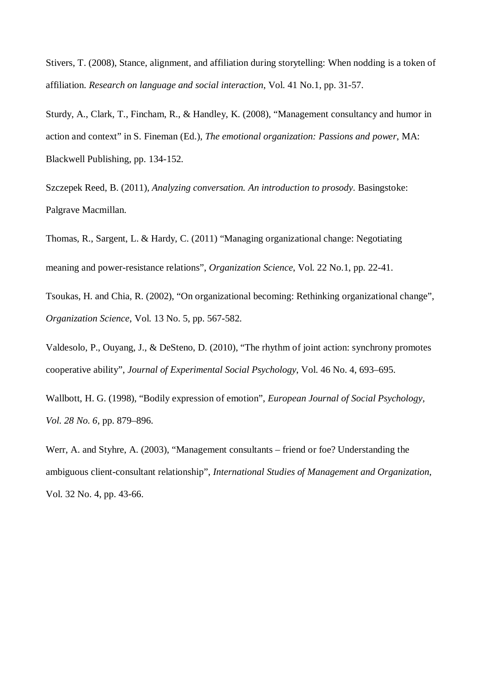Stivers, T. (2008), Stance, alignment, and affiliation during storytelling: When nodding is a token of affiliation. *Research on language and social interaction*, Vol. 41 No.1, pp. 31-57.

Sturdy, A., Clark, T., Fincham, R., & Handley, K. (2008), "Management consultancy and humor in action and context" in S. Fineman (Ed.), *The emotional organization: Passions and power*, MA: Blackwell Publishing, pp. 134-152.

Szczepek Reed, B. (2011), *Analyzing conversation. An introduction to prosody*. Basingstoke: Palgrave Macmillan.

Thomas, R., Sargent, L. & Hardy, C. (2011) "Managing organizational change: Negotiating meaning and power-resistance relations", *Organization Science*, Vol. 22 No.1, pp. 22-41.

Tsoukas, H. and Chia, R. (2002), "On organizational becoming: Rethinking organizational change", *Organization Science*, Vol. 13 No. 5, pp. 567-582.

Valdesolo, P., Ouyang, J., & DeSteno, D. (2010), "The rhythm of joint action: synchrony promotes cooperative ability", *Journal of Experimental Social Psychology*, Vol. 46 No. 4, 693–695.

Wallbott, H. G. (1998), "Bodily expression of emotion", *European Journal of Social Psychology, Vol. 28 No. 6*, pp. 879–896.

Werr, A. and Styhre, A. (2003), "Management consultants – friend or foe? Understanding the ambiguous client-consultant relationship", *International Studies of Management and Organization*, Vol. 32 No. 4, pp. 43-66.